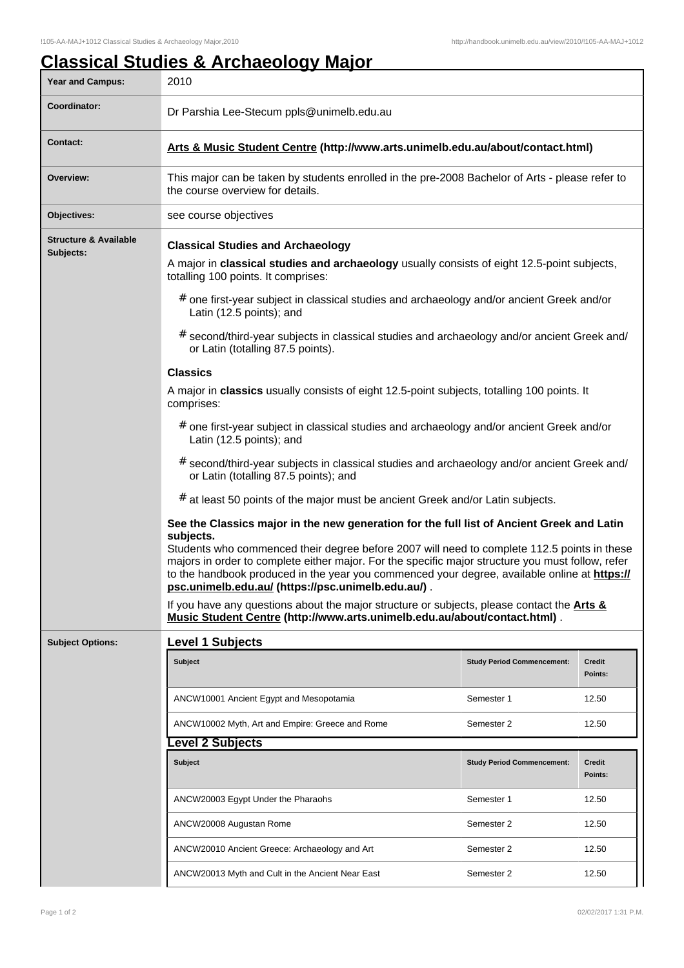## **Classical Studies & Archaeology Major**

| <b>Year and Campus:</b>                       | 2010                                                                                                                                                                                                                                                                                                                                                                                                                                                                                                                                                                                                                                                                                                                                                                                                                                                                                                                                                                                                                                                                                                                                                                                                                                                                                                                                                                                                                                                                                                |                                   |                   |  |  |
|-----------------------------------------------|-----------------------------------------------------------------------------------------------------------------------------------------------------------------------------------------------------------------------------------------------------------------------------------------------------------------------------------------------------------------------------------------------------------------------------------------------------------------------------------------------------------------------------------------------------------------------------------------------------------------------------------------------------------------------------------------------------------------------------------------------------------------------------------------------------------------------------------------------------------------------------------------------------------------------------------------------------------------------------------------------------------------------------------------------------------------------------------------------------------------------------------------------------------------------------------------------------------------------------------------------------------------------------------------------------------------------------------------------------------------------------------------------------------------------------------------------------------------------------------------------------|-----------------------------------|-------------------|--|--|
| Coordinator:                                  | Dr Parshia Lee-Stecum ppls@unimelb.edu.au                                                                                                                                                                                                                                                                                                                                                                                                                                                                                                                                                                                                                                                                                                                                                                                                                                                                                                                                                                                                                                                                                                                                                                                                                                                                                                                                                                                                                                                           |                                   |                   |  |  |
| <b>Contact:</b>                               | Arts & Music Student Centre (http://www.arts.unimelb.edu.au/about/contact.html)                                                                                                                                                                                                                                                                                                                                                                                                                                                                                                                                                                                                                                                                                                                                                                                                                                                                                                                                                                                                                                                                                                                                                                                                                                                                                                                                                                                                                     |                                   |                   |  |  |
| Overview:                                     | This major can be taken by students enrolled in the pre-2008 Bachelor of Arts - please refer to<br>the course overview for details.                                                                                                                                                                                                                                                                                                                                                                                                                                                                                                                                                                                                                                                                                                                                                                                                                                                                                                                                                                                                                                                                                                                                                                                                                                                                                                                                                                 |                                   |                   |  |  |
| Objectives:                                   | see course objectives                                                                                                                                                                                                                                                                                                                                                                                                                                                                                                                                                                                                                                                                                                                                                                                                                                                                                                                                                                                                                                                                                                                                                                                                                                                                                                                                                                                                                                                                               |                                   |                   |  |  |
| <b>Structure &amp; Available</b><br>Subjects: | <b>Classical Studies and Archaeology</b><br>A major in classical studies and archaeology usually consists of eight 12.5-point subjects,<br>totalling 100 points. It comprises:<br># one first-year subject in classical studies and archaeology and/or ancient Greek and/or<br>Latin (12.5 points); and<br># second/third-year subjects in classical studies and archaeology and/or ancient Greek and/<br>or Latin (totalling 87.5 points).<br><b>Classics</b><br>A major in classics usually consists of eight 12.5-point subjects, totalling 100 points. It<br>comprises:<br># one first-year subject in classical studies and archaeology and/or ancient Greek and/or<br>Latin (12.5 points); and<br># second/third-year subjects in classical studies and archaeology and/or ancient Greek and/<br>or Latin (totalling 87.5 points); and<br>at least 50 points of the major must be ancient Greek and/or Latin subjects.<br>#<br>See the Classics major in the new generation for the full list of Ancient Greek and Latin<br>subjects.<br>Students who commenced their degree before 2007 will need to complete 112.5 points in these<br>majors in order to complete either major. For the specific major structure you must follow, refer<br>to the handbook produced in the year you commenced your degree, available online at https://<br>psc.unimelb.edu.au/ (https://psc.unimelb.edu.au/).<br>If you have any questions about the major structure or subjects, please contact the Arts & |                                   |                   |  |  |
|                                               |                                                                                                                                                                                                                                                                                                                                                                                                                                                                                                                                                                                                                                                                                                                                                                                                                                                                                                                                                                                                                                                                                                                                                                                                                                                                                                                                                                                                                                                                                                     |                                   |                   |  |  |
|                                               | Music Student Centre (http://www.arts.unimelb.edu.au/about/contact.html).                                                                                                                                                                                                                                                                                                                                                                                                                                                                                                                                                                                                                                                                                                                                                                                                                                                                                                                                                                                                                                                                                                                                                                                                                                                                                                                                                                                                                           |                                   |                   |  |  |
| <b>Subject Options:</b>                       | <b>Level 1 Subjects</b><br><b>Subject</b>                                                                                                                                                                                                                                                                                                                                                                                                                                                                                                                                                                                                                                                                                                                                                                                                                                                                                                                                                                                                                                                                                                                                                                                                                                                                                                                                                                                                                                                           | <b>Study Period Commencement:</b> | Credit<br>Points: |  |  |
|                                               | ANCW10001 Ancient Egypt and Mesopotamia                                                                                                                                                                                                                                                                                                                                                                                                                                                                                                                                                                                                                                                                                                                                                                                                                                                                                                                                                                                                                                                                                                                                                                                                                                                                                                                                                                                                                                                             | Semester 1                        | 12.50             |  |  |
|                                               | ANCW10002 Myth, Art and Empire: Greece and Rome                                                                                                                                                                                                                                                                                                                                                                                                                                                                                                                                                                                                                                                                                                                                                                                                                                                                                                                                                                                                                                                                                                                                                                                                                                                                                                                                                                                                                                                     | Semester 2                        | 12.50             |  |  |
|                                               | evel 2 Subjects                                                                                                                                                                                                                                                                                                                                                                                                                                                                                                                                                                                                                                                                                                                                                                                                                                                                                                                                                                                                                                                                                                                                                                                                                                                                                                                                                                                                                                                                                     |                                   |                   |  |  |
|                                               | Subject                                                                                                                                                                                                                                                                                                                                                                                                                                                                                                                                                                                                                                                                                                                                                                                                                                                                                                                                                                                                                                                                                                                                                                                                                                                                                                                                                                                                                                                                                             | <b>Study Period Commencement:</b> | Credit<br>Points: |  |  |
|                                               | ANCW20003 Egypt Under the Pharaohs                                                                                                                                                                                                                                                                                                                                                                                                                                                                                                                                                                                                                                                                                                                                                                                                                                                                                                                                                                                                                                                                                                                                                                                                                                                                                                                                                                                                                                                                  | Semester 1                        | 12.50             |  |  |
|                                               | ANCW20008 Augustan Rome                                                                                                                                                                                                                                                                                                                                                                                                                                                                                                                                                                                                                                                                                                                                                                                                                                                                                                                                                                                                                                                                                                                                                                                                                                                                                                                                                                                                                                                                             | Semester 2                        | 12.50             |  |  |
|                                               | ANCW20010 Ancient Greece: Archaeology and Art                                                                                                                                                                                                                                                                                                                                                                                                                                                                                                                                                                                                                                                                                                                                                                                                                                                                                                                                                                                                                                                                                                                                                                                                                                                                                                                                                                                                                                                       | Semester 2                        | 12.50             |  |  |
|                                               | ANCW20013 Myth and Cult in the Ancient Near East                                                                                                                                                                                                                                                                                                                                                                                                                                                                                                                                                                                                                                                                                                                                                                                                                                                                                                                                                                                                                                                                                                                                                                                                                                                                                                                                                                                                                                                    | Semester 2                        | 12.50             |  |  |